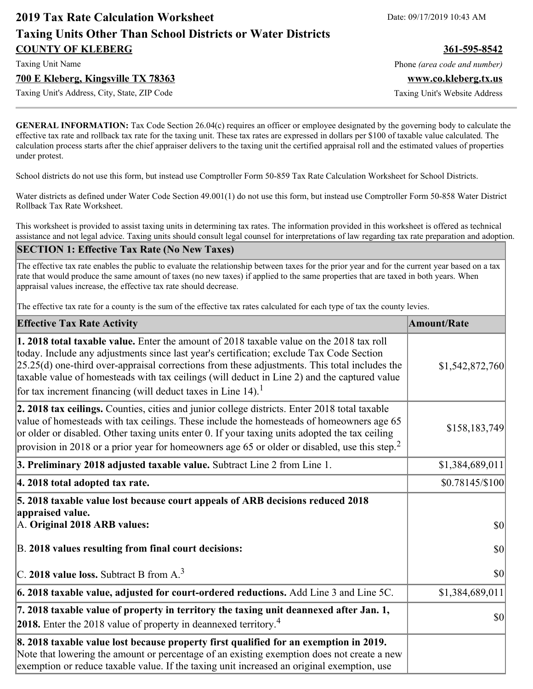# **2019 Tax Rate Calculation Worksheet** Date: 09/17/2019 10:43 AM **Taxing Units Other Than School Districts or Water Districts COUNTY OF KLEBERG 361-595-8542**

#### **700 E Kleberg, Kingsville TX 78363 www.co.kleberg.tx.us**

Taxing Unit's Address, City, State, ZIP Code Taxing Unit's Website Address

Taxing Unit Name **Phone** *(area code and number)* Phone *(area code and number)* 

**GENERAL INFORMATION:** Tax Code Section 26.04(c) requires an officer or employee designated by the governing body to calculate the effective tax rate and rollback tax rate for the taxing unit. These tax rates are expressed in dollars per \$100 of taxable value calculated. The calculation process starts after the chief appraiser delivers to the taxing unit the certified appraisal roll and the estimated values of properties under protest.

School districts do not use this form, but instead use Comptroller Form 50-859 Tax Rate Calculation Worksheet for School Districts.

Water districts as defined under Water Code Section 49.001(1) do not use this form, but instead use Comptroller Form 50-858 Water District Rollback Tax Rate Worksheet.

This worksheet is provided to assist taxing units in determining tax rates. The information provided in this worksheet is offered as technical assistance and not legal advice. Taxing units should consult legal counsel for interpretations of law regarding tax rate preparation and adoption.

#### **SECTION 1: Effective Tax Rate (No New Taxes)**

The effective tax rate enables the public to evaluate the relationship between taxes for the prior year and for the current year based on a tax rate that would produce the same amount of taxes (no new taxes) if applied to the same properties that are taxed in both years. When appraisal values increase, the effective tax rate should decrease.

The effective tax rate for a county is the sum of the effective tax rates calculated for each type of tax the county levies.

| <b>Effective Tax Rate Activity</b>                                                                                                                                                                                                                                                                                                                                                                                                                                          | <b>Amount/Rate</b> |
|-----------------------------------------------------------------------------------------------------------------------------------------------------------------------------------------------------------------------------------------------------------------------------------------------------------------------------------------------------------------------------------------------------------------------------------------------------------------------------|--------------------|
| <b>1. 2018 total taxable value.</b> Enter the amount of 2018 taxable value on the 2018 tax roll<br>today. Include any adjustments since last year's certification; exclude Tax Code Section<br>$[25.25(d)$ one-third over-appraisal corrections from these adjustments. This total includes the<br>taxable value of homesteads with tax ceilings (will deduct in Line 2) and the captured value<br>for tax increment financing (will deduct taxes in Line 14). <sup>1</sup> | \$1,542,872,760    |
| 2. 2018 tax ceilings. Counties, cities and junior college districts. Enter 2018 total taxable<br>value of homesteads with tax ceilings. These include the homesteads of homeowners age 65<br>or older or disabled. Other taxing units enter 0. If your taxing units adopted the tax ceiling<br>provision in 2018 or a prior year for homeowners age 65 or older or disabled, use this step. <sup>2</sup>                                                                    | \$158,183,749      |
| 3. Preliminary 2018 adjusted taxable value. Subtract Line 2 from Line 1.                                                                                                                                                                                                                                                                                                                                                                                                    | \$1,384,689,011    |
| 4. 2018 total adopted tax rate.                                                                                                                                                                                                                                                                                                                                                                                                                                             | $$0.78145/\$100$   |
| 5. 2018 taxable value lost because court appeals of ARB decisions reduced 2018<br>appraised value.<br>A. Original 2018 ARB values:                                                                                                                                                                                                                                                                                                                                          | $ 10\rangle$       |
| B. 2018 values resulting from final court decisions:                                                                                                                                                                                                                                                                                                                                                                                                                        | $ 10\rangle$       |
| C. 2018 value loss. Subtract B from $A3$                                                                                                                                                                                                                                                                                                                                                                                                                                    | 30                 |
| 6. 2018 taxable value, adjusted for court-ordered reductions. Add Line 3 and Line 5C.                                                                                                                                                                                                                                                                                                                                                                                       | \$1,384,689,011    |
| 7. 2018 taxable value of property in territory the taxing unit deannexed after Jan. 1,<br><b>2018.</b> Enter the 2018 value of property in deannexed territory. <sup>4</sup>                                                                                                                                                                                                                                                                                                | $ 10\rangle$       |
| 8. 2018 taxable value lost because property first qualified for an exemption in 2019.<br>Note that lowering the amount or percentage of an existing exemption does not create a new<br>exemption or reduce taxable value. If the taxing unit increased an original exemption, use                                                                                                                                                                                           |                    |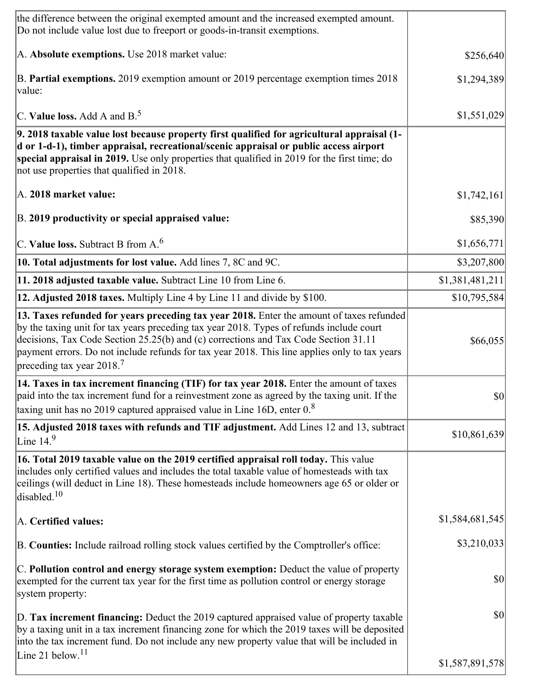| the difference between the original exempted amount and the increased exempted amount.<br>Do not include value lost due to freeport or goods-in-transit exemptions.                                                                                                                                                                                                                                                      |                 |
|--------------------------------------------------------------------------------------------------------------------------------------------------------------------------------------------------------------------------------------------------------------------------------------------------------------------------------------------------------------------------------------------------------------------------|-----------------|
| A. Absolute exemptions. Use 2018 market value:                                                                                                                                                                                                                                                                                                                                                                           | \$256,640       |
| B. Partial exemptions. 2019 exemption amount or 2019 percentage exemption times 2018<br>value:                                                                                                                                                                                                                                                                                                                           | \$1,294,389     |
| C. Value loss. Add A and $B^5$ .                                                                                                                                                                                                                                                                                                                                                                                         | \$1,551,029     |
| 9. 2018 taxable value lost because property first qualified for agricultural appraisal (1-<br>d or 1-d-1), timber appraisal, recreational/scenic appraisal or public access airport<br>special appraisal in 2019. Use only properties that qualified in 2019 for the first time; do<br>not use properties that qualified in 2018.                                                                                        |                 |
| A. 2018 market value:                                                                                                                                                                                                                                                                                                                                                                                                    | \$1,742,161     |
| B. 2019 productivity or special appraised value:                                                                                                                                                                                                                                                                                                                                                                         | \$85,390        |
| C. Value loss. Subtract B from $A6$                                                                                                                                                                                                                                                                                                                                                                                      | \$1,656,771     |
| 10. Total adjustments for lost value. Add lines 7, 8C and 9C.                                                                                                                                                                                                                                                                                                                                                            | \$3,207,800     |
| 11. 2018 adjusted taxable value. Subtract Line 10 from Line 6.                                                                                                                                                                                                                                                                                                                                                           | \$1,381,481,211 |
| 12. Adjusted 2018 taxes. Multiply Line 4 by Line 11 and divide by \$100.                                                                                                                                                                                                                                                                                                                                                 | \$10,795,584    |
| 13. Taxes refunded for years preceding tax year 2018. Enter the amount of taxes refunded<br>by the taxing unit for tax years preceding tax year 2018. Types of refunds include court<br>decisions, Tax Code Section 25.25(b) and (c) corrections and Tax Code Section 31.11<br>payment errors. Do not include refunds for tax year 2018. This line applies only to tax years<br>preceding tax year $2018$ . <sup>7</sup> | \$66,055        |
| 14. Taxes in tax increment financing (TIF) for tax year 2018. Enter the amount of taxes<br>paid into the tax increment fund for a reinvestment zone as agreed by the taxing unit. If the<br>taxing unit has no 2019 captured appraised value in Line 16D, enter $0.8$                                                                                                                                                    | $ 10\rangle$    |
| 15. Adjusted 2018 taxes with refunds and TIF adjustment. Add Lines 12 and 13, subtract<br>Line $149$                                                                                                                                                                                                                                                                                                                     | \$10,861,639    |
| 16. Total 2019 taxable value on the 2019 certified appraisal roll today. This value<br>includes only certified values and includes the total taxable value of homesteads with tax<br>ceilings (will deduct in Line 18). These homesteads include homeowners age 65 or older or<br>disabled. <sup>10</sup>                                                                                                                |                 |
| A. Certified values:                                                                                                                                                                                                                                                                                                                                                                                                     | \$1,584,681,545 |
| B. Counties: Include railroad rolling stock values certified by the Comptroller's office:                                                                                                                                                                                                                                                                                                                                | \$3,210,033     |
| C. Pollution control and energy storage system exemption: Deduct the value of property<br>exempted for the current tax year for the first time as pollution control or energy storage<br>system property:                                                                                                                                                                                                                | \$0             |
| D. Tax increment financing: Deduct the 2019 captured appraised value of property taxable<br>by a taxing unit in a tax increment financing zone for which the 2019 taxes will be deposited<br>into the tax increment fund. Do not include any new property value that will be included in<br>Line 21 below. <sup>11</sup>                                                                                                 | $ 10\rangle$    |
|                                                                                                                                                                                                                                                                                                                                                                                                                          | \$1,587,891,578 |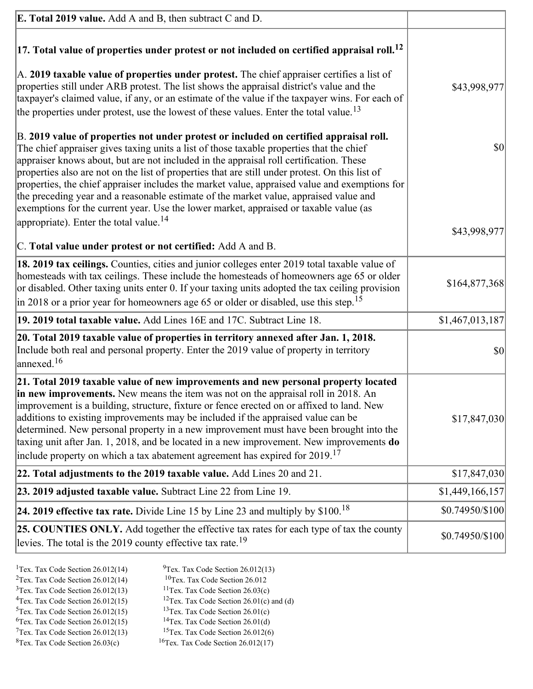| <b>E. Total 2019 value.</b> Add A and B, then subtract C and D.                                                                                                                                                                                                                                                                                                                                                                                                                                                                                                                                                                                                                                                          |                 |
|--------------------------------------------------------------------------------------------------------------------------------------------------------------------------------------------------------------------------------------------------------------------------------------------------------------------------------------------------------------------------------------------------------------------------------------------------------------------------------------------------------------------------------------------------------------------------------------------------------------------------------------------------------------------------------------------------------------------------|-----------------|
| $ 17$ . Total value of properties under protest or not included on certified appraisal roll. <sup>12</sup>                                                                                                                                                                                                                                                                                                                                                                                                                                                                                                                                                                                                               |                 |
| A. 2019 taxable value of properties under protest. The chief appraiser certifies a list of<br>properties still under ARB protest. The list shows the appraisal district's value and the<br>taxpayer's claimed value, if any, or an estimate of the value if the taxpayer wins. For each of<br>the properties under protest, use the lowest of these values. Enter the total value. <sup>13</sup>                                                                                                                                                                                                                                                                                                                         | \$43,998,977    |
| B. 2019 value of properties not under protest or included on certified appraisal roll.<br>The chief appraiser gives taxing units a list of those taxable properties that the chief<br>appraiser knows about, but are not included in the appraisal roll certification. These<br>properties also are not on the list of properties that are still under protest. On this list of<br>properties, the chief appraiser includes the market value, appraised value and exemptions for<br>the preceding year and a reasonable estimate of the market value, appraised value and<br>exemptions for the current year. Use the lower market, appraised or taxable value (as<br>appropriate). Enter the total value. <sup>14</sup> | \$0             |
| C. Total value under protest or not certified: Add A and B.                                                                                                                                                                                                                                                                                                                                                                                                                                                                                                                                                                                                                                                              | \$43,998,977    |
| 18. 2019 tax ceilings. Counties, cities and junior colleges enter 2019 total taxable value of<br>homesteads with tax ceilings. These include the homesteads of homeowners age 65 or older<br>or disabled. Other taxing units enter 0. If your taxing units adopted the tax ceiling provision<br>$\vert$ in 2018 or a prior year for homeowners age 65 or older or disabled, use this step. <sup>15</sup>                                                                                                                                                                                                                                                                                                                 | \$164,877,368   |
| 19. 2019 total taxable value. Add Lines 16E and 17C. Subtract Line 18.                                                                                                                                                                                                                                                                                                                                                                                                                                                                                                                                                                                                                                                   | \$1,467,013,187 |
| 20. Total 2019 taxable value of properties in territory annexed after Jan. 1, 2018.<br>Include both real and personal property. Enter the 2019 value of property in territory<br>$\frac{16}{2}$                                                                                                                                                                                                                                                                                                                                                                                                                                                                                                                          | \$0             |
| 21. Total 2019 taxable value of new improvements and new personal property located<br>in new improvements. New means the item was not on the appraisal roll in 2018. An<br>improvement is a building, structure, fixture or fence erected on or affixed to land. New<br>additions to existing improvements may be included if the appraised value can be<br>determined. New personal property in a new improvement must have been brought into the<br>taxing unit after Jan. 1, 2018, and be located in a new improvement. New improvements do<br>include property on which a tax abatement agreement has expired for $2019$ . <sup>17</sup>                                                                             | \$17,847,030    |
| 22. Total adjustments to the 2019 taxable value. Add Lines 20 and 21.                                                                                                                                                                                                                                                                                                                                                                                                                                                                                                                                                                                                                                                    | \$17,847,030    |
| 23. 2019 adjusted taxable value. Subtract Line 22 from Line 19.                                                                                                                                                                                                                                                                                                                                                                                                                                                                                                                                                                                                                                                          | \$1,449,166,157 |
| 24. 2019 effective tax rate. Divide Line 15 by Line 23 and multiply by $$100$ . <sup>18</sup>                                                                                                                                                                                                                                                                                                                                                                                                                                                                                                                                                                                                                            | \$0.74950/\$100 |
| <b>25. COUNTIES ONLY.</b> Add together the effective tax rates for each type of tax the county<br>levies. The total is the 2019 county effective tax rate. <sup>19</sup>                                                                                                                                                                                                                                                                                                                                                                                                                                                                                                                                                 | \$0.74950/\$100 |

- <sup>1</sup>Tex. Tax Code Section 26.012(14) <sup>9</sup>Tex. Tax Code Section 26.012(13) <sup>9</sup>Tex. Tax Code Section 26.012 <sup>2</sup>Tex. Tax Code Section 26.012(14)<br><sup>3</sup>Tex. Tax Code Section 26.012(13)
	-
	-
- <sup>3</sup>Tex. Tax Code Section 26.012(13) <sup>11</sup>Tex. Tax Code Section 26.03(c) <sup>4</sup>Tex. Tax Code Section 26.01(c)
- <sup>4</sup>Tex. Tax Code Section 26.012(15) <sup>12</sup>Tex. Tax Code Section 26.01(c) and (d)<br><sup>5</sup>Tex. Tax Code Section 26.012(15) <sup>13</sup>Tex. Tax Code Section 26.01(c)
	- <sup>13</sup>Tex. Tax Code Section 26.01(c) <sup>14</sup>Tex. Tax Code Section 26.01(d)
- <sup>6</sup>Tex. Tax Code Section 26.012(15)<br><sup>7</sup>Tex. Tax Code Section 26.012(13)
- 
- 
- <sup>7</sup>Tex. Tax Code Section 26.012(13) <sup>15</sup>Tex. Tax Code Section 26.012(6)<br><sup>8</sup>Tex. Tax Code Section 26.03(c) <sup>16</sup>Tex. Tax Code Section 26.012(17)
	- $16$ Tex. Tax Code Section 26.012(17)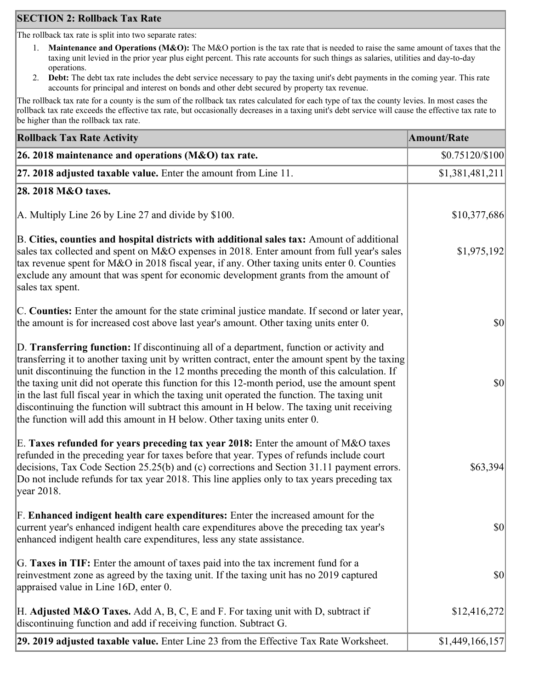## **SECTION 2: Rollback Tax Rate**

The rollback tax rate is split into two separate rates:

- 1. **Maintenance and Operations (M&O):** The M&O portion is the tax rate that is needed to raise the same amount of taxes that the taxing unit levied in the prior year plus eight percent. This rate accounts for such things as salaries, utilities and day-to-day operations.
- 2. **Debt:** The debt tax rate includes the debt service necessary to pay the taxing unit's debt payments in the coming year. This rate accounts for principal and interest on bonds and other debt secured by property tax revenue.

The rollback tax rate for a county is the sum of the rollback tax rates calculated for each type of tax the county levies. In most cases the rollback tax rate exceeds the effective tax rate, but occasionally decreases in a taxing unit's debt service will cause the effective tax rate to be higher than the rollback tax rate.

| <b>Rollback Tax Rate Activity</b>                                                                                                                                                                                                                                                                                                                                                                                                                                                                                                                                                                                                                                       | <b>Amount/Rate</b>                  |
|-------------------------------------------------------------------------------------------------------------------------------------------------------------------------------------------------------------------------------------------------------------------------------------------------------------------------------------------------------------------------------------------------------------------------------------------------------------------------------------------------------------------------------------------------------------------------------------------------------------------------------------------------------------------------|-------------------------------------|
| 26. 2018 maintenance and operations ( $M&O$ ) tax rate.                                                                                                                                                                                                                                                                                                                                                                                                                                                                                                                                                                                                                 | \$0.75120/\$100                     |
| 27. 2018 adjusted taxable value. Enter the amount from Line 11.                                                                                                                                                                                                                                                                                                                                                                                                                                                                                                                                                                                                         | \$1,381,481,211                     |
| 28. 2018 M&O taxes.                                                                                                                                                                                                                                                                                                                                                                                                                                                                                                                                                                                                                                                     |                                     |
| A. Multiply Line 26 by Line 27 and divide by \$100.                                                                                                                                                                                                                                                                                                                                                                                                                                                                                                                                                                                                                     | \$10,377,686                        |
| B. Cities, counties and hospital districts with additional sales tax: Amount of additional<br>sales tax collected and spent on M&O expenses in 2018. Enter amount from full year's sales<br>tax revenue spent for M&O in 2018 fiscal year, if any. Other taxing units enter 0. Counties<br>exclude any amount that was spent for economic development grants from the amount of<br>sales tax spent.                                                                                                                                                                                                                                                                     | \$1,975,192                         |
| C. Counties: Enter the amount for the state criminal justice mandate. If second or later year,<br>the amount is for increased cost above last year's amount. Other taxing units enter 0.                                                                                                                                                                                                                                                                                                                                                                                                                                                                                | $ 10\rangle$                        |
| D. Transferring function: If discontinuing all of a department, function or activity and<br>transferring it to another taxing unit by written contract, enter the amount spent by the taxing<br>unit discontinuing the function in the 12 months preceding the month of this calculation. If<br>the taxing unit did not operate this function for this 12-month period, use the amount spent<br>in the last full fiscal year in which the taxing unit operated the function. The taxing unit<br>discontinuing the function will subtract this amount in H below. The taxing unit receiving<br>the function will add this amount in H below. Other taxing units enter 0. | $ 10\rangle$                        |
| E. Taxes refunded for years preceding tax year 2018: Enter the amount of M&O taxes<br>refunded in the preceding year for taxes before that year. Types of refunds include court<br>decisions, Tax Code Section 25.25(b) and (c) corrections and Section 31.11 payment errors.<br>Do not include refunds for tax year 2018. This line applies only to tax years preceding tax<br> year 2018.                                                                                                                                                                                                                                                                             | \$63,394                            |
| F. Enhanced indigent health care expenditures: Enter the increased amount for the<br>current year's enhanced indigent health care expenditures above the preceding tax year's<br>enhanced indigent health care expenditures, less any state assistance.                                                                                                                                                                                                                                                                                                                                                                                                                 | $\vert \mathbf{S} \mathbf{0} \vert$ |
| G. Taxes in TIF: Enter the amount of taxes paid into the tax increment fund for a<br>reinvestment zone as agreed by the taxing unit. If the taxing unit has no 2019 captured<br>appraised value in Line 16D, enter 0.                                                                                                                                                                                                                                                                                                                                                                                                                                                   | $ 10\rangle$                        |
| H. Adjusted M&O Taxes. Add A, B, C, E and F. For taxing unit with D, subtract if<br>discontinuing function and add if receiving function. Subtract G.                                                                                                                                                                                                                                                                                                                                                                                                                                                                                                                   | \$12,416,272                        |
| 29. 2019 adjusted taxable value. Enter Line 23 from the Effective Tax Rate Worksheet.                                                                                                                                                                                                                                                                                                                                                                                                                                                                                                                                                                                   | \$1,449,166,157                     |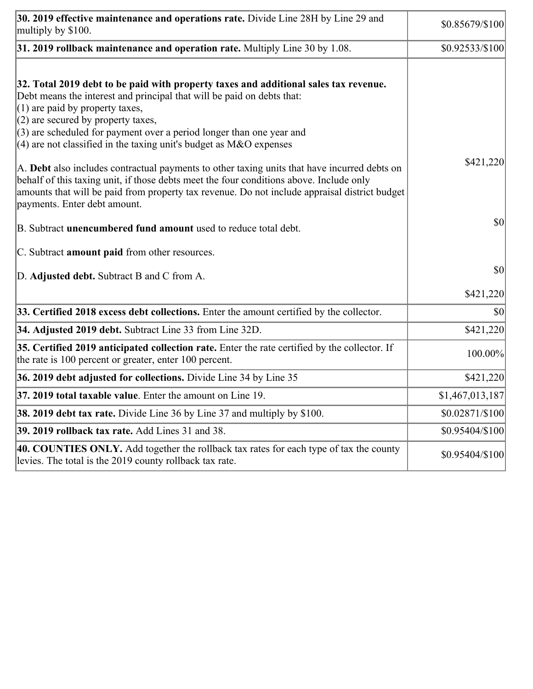| 30. 2019 effective maintenance and operations rate. Divide Line 28H by Line 29 and<br>multiply by \$100.                                                                                                                                                                                                                                                                                                                                                                                                                                                                                                                                                                                  | \$0.85679/\$100 |
|-------------------------------------------------------------------------------------------------------------------------------------------------------------------------------------------------------------------------------------------------------------------------------------------------------------------------------------------------------------------------------------------------------------------------------------------------------------------------------------------------------------------------------------------------------------------------------------------------------------------------------------------------------------------------------------------|-----------------|
| $31.2019$ rollback maintenance and operation rate. Multiply Line 30 by 1.08.                                                                                                                                                                                                                                                                                                                                                                                                                                                                                                                                                                                                              | \$0.92533/\$100 |
| 32. Total 2019 debt to be paid with property taxes and additional sales tax revenue.<br>Debt means the interest and principal that will be paid on debts that:<br>$(1)$ are paid by property taxes,<br>$(2)$ are secured by property taxes,<br>$(3)$ are scheduled for payment over a period longer than one year and<br>$(4)$ are not classified in the taxing unit's budget as M&O expenses<br>A. Debt also includes contractual payments to other taxing units that have incurred debts on<br>behalf of this taxing unit, if those debts meet the four conditions above. Include only<br>amounts that will be paid from property tax revenue. Do not include appraisal district budget | \$421,220       |
| payments. Enter debt amount.<br>B. Subtract unencumbered fund amount used to reduce total debt.<br>C. Subtract amount paid from other resources.                                                                                                                                                                                                                                                                                                                                                                                                                                                                                                                                          | \$0             |
| D. Adjusted debt. Subtract B and C from A.                                                                                                                                                                                                                                                                                                                                                                                                                                                                                                                                                                                                                                                | \$0             |
|                                                                                                                                                                                                                                                                                                                                                                                                                                                                                                                                                                                                                                                                                           | \$421,220       |
| 33. Certified 2018 excess debt collections. Enter the amount certified by the collector.                                                                                                                                                                                                                                                                                                                                                                                                                                                                                                                                                                                                  | \$0             |
| 34. Adjusted 2019 debt. Subtract Line 33 from Line 32D.                                                                                                                                                                                                                                                                                                                                                                                                                                                                                                                                                                                                                                   | \$421,220       |
| 35. Certified 2019 anticipated collection rate. Enter the rate certified by the collector. If<br>the rate is 100 percent or greater, enter 100 percent.                                                                                                                                                                                                                                                                                                                                                                                                                                                                                                                                   | 100.00%         |
| 36. 2019 debt adjusted for collections. Divide Line 34 by Line 35                                                                                                                                                                                                                                                                                                                                                                                                                                                                                                                                                                                                                         | \$421,220       |
| <b>37. 2019 total taxable value.</b> Enter the amount on Line 19.                                                                                                                                                                                                                                                                                                                                                                                                                                                                                                                                                                                                                         | \$1,467,013,187 |
| <b>38. 2019 debt tax rate.</b> Divide Line 36 by Line 37 and multiply by \$100.                                                                                                                                                                                                                                                                                                                                                                                                                                                                                                                                                                                                           | \$0.02871/\$100 |
| 39. 2019 rollback tax rate. Add Lines 31 and 38.                                                                                                                                                                                                                                                                                                                                                                                                                                                                                                                                                                                                                                          | \$0.95404/\$100 |
| 40. COUNTIES ONLY. Add together the rollback tax rates for each type of tax the county<br>levies. The total is the 2019 county rollback tax rate.                                                                                                                                                                                                                                                                                                                                                                                                                                                                                                                                         | \$0.95404/\$100 |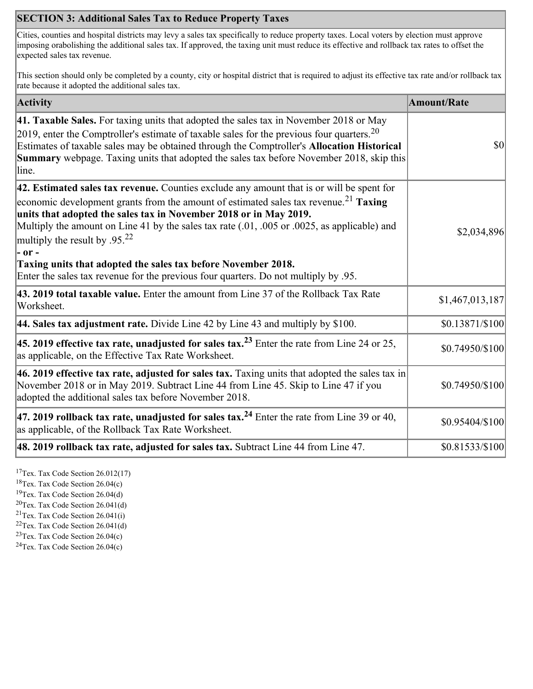## **SECTION 3: Additional Sales Tax to Reduce Property Taxes**

Cities, counties and hospital districts may levy a sales tax specifically to reduce property taxes. Local voters by election must approve imposing orabolishing the additional sales tax. If approved, the taxing unit must reduce its effective and rollback tax rates to offset the expected sales tax revenue.

This section should only be completed by a county, city or hospital district that is required to adjust its effective tax rate and/or rollback tax rate because it adopted the additional sales tax.

| <b>Activity</b>                                                                                                                                                                                                                                                                                                                                                                                                                                                                                                                                                         | <b>Amount/Rate</b> |
|-------------------------------------------------------------------------------------------------------------------------------------------------------------------------------------------------------------------------------------------------------------------------------------------------------------------------------------------------------------------------------------------------------------------------------------------------------------------------------------------------------------------------------------------------------------------------|--------------------|
| 41. Taxable Sales. For taxing units that adopted the sales tax in November 2018 or May<br>[2019, enter the Comptroller's estimate of taxable sales for the previous four quarters. <sup>20</sup><br>Estimates of taxable sales may be obtained through the Comptroller's Allocation Historical<br><b>Summary</b> webpage. Taxing units that adopted the sales tax before November 2018, skip this<br>line.                                                                                                                                                              | \$0                |
| 42. Estimated sales tax revenue. Counties exclude any amount that is or will be spent for<br>economic development grants from the amount of estimated sales tax revenue. <sup>21</sup> Taxing<br>units that adopted the sales tax in November 2018 or in May 2019.<br>Multiply the amount on Line 41 by the sales tax rate (.01, .005 or .0025, as applicable) and<br>multiply the result by $.9522$<br> - or -<br>Taxing units that adopted the sales tax before November 2018.<br>Enter the sales tax revenue for the previous four quarters. Do not multiply by .95. | \$2,034,896        |
| 43. 2019 total taxable value. Enter the amount from Line 37 of the Rollback Tax Rate<br>Worksheet.                                                                                                                                                                                                                                                                                                                                                                                                                                                                      | \$1,467,013,187    |
| 44. Sales tax adjustment rate. Divide Line 42 by Line 43 and multiply by $$100$ .                                                                                                                                                                                                                                                                                                                                                                                                                                                                                       | \$0.13871/\$100    |
| 45. 2019 effective tax rate, unadjusted for sales tax. <sup>23</sup> Enter the rate from Line 24 or 25,<br>as applicable, on the Effective Tax Rate Worksheet.                                                                                                                                                                                                                                                                                                                                                                                                          | \$0.74950/\$100    |
| 46. 2019 effective tax rate, adjusted for sales tax. Taxing units that adopted the sales tax in<br>November 2018 or in May 2019. Subtract Line 44 from Line 45. Skip to Line 47 if you<br>adopted the additional sales tax before November 2018.                                                                                                                                                                                                                                                                                                                        | \$0.74950/\$100    |
| 47. 2019 rollback tax rate, unadjusted for sales tax. <sup>24</sup> Enter the rate from Line 39 or 40,<br>as applicable, of the Rollback Tax Rate Worksheet.                                                                                                                                                                                                                                                                                                                                                                                                            | \$0.95404/\$100    |
| [48. 2019 rollback tax rate, adjusted for sales tax. Subtract Line 44 from Line 47.                                                                                                                                                                                                                                                                                                                                                                                                                                                                                     | \$0.81533/\$100    |

<sup>17</sup>Tex. Tax Code Section 26.012(17)

<sup>18</sup>Tex. Tax Code Section 26.04(c)

<sup>19</sup>Tex. Tax Code Section 26.04(d)

 $20$ Tex. Tax Code Section 26.041(d)

<sup>21</sup>Tex. Tax Code Section  $26.041(i)$ 

 $22$ Tex. Tax Code Section 26.041(d)

 $23$ Tex. Tax Code Section 26.04(c)  $24$ Tex. Tax Code Section 26.04(c)